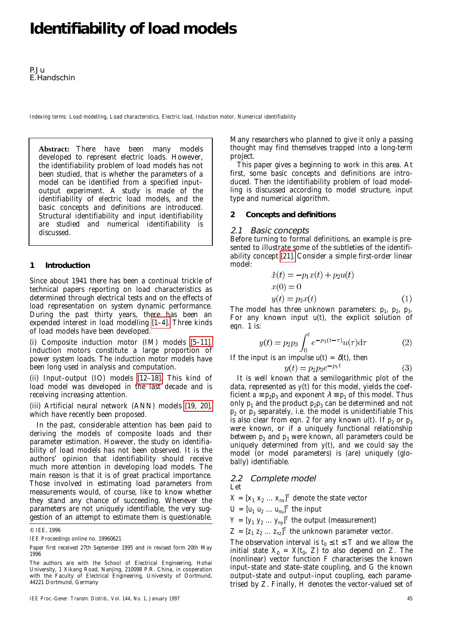# **Identifiability of load models**

P.Ju E.Handschin

*Indexing terms: Load modelling, Load characteristics, Electric load, Induction motor, Numerical identifiability* 

**Abstract:** There have been many models developed to represent electric loads. However, the identifiability problem of load models has not been studied, that is whether the parameters of a model can be identified from a specified input– output experiment. A study is made of the identifiability of electric load models, and the basic concepts and definitions are introduced. Structural identifiability and input identifiability are studied and numerical identifiability is discussed.

### **1 Introduction**

Since about 1941 there has been a continual trickle of technical papers reporting on load characteristics as determined through electrical tests and on the effects of load representation on system dynamic performance. During the past thirty years, there has been an expended interest in load modelling [\[1–4\].](#page-3-0) Three kinds of load models have been developed.

(i) Composite induction motor (IM) models [\[5–11\].](#page-3-1) Induction motors constitute a large proportion of power system loads. The induction motor models have been long used in analysis and computation.

(ii) Input–output (IO) models [\[12–18\].](#page-3-2) This kind of load model was developed in the last decade and is receiving increasing attention.

(iii) Artificial neural network (ANN) models [\[19, 20\],](#page-4-0) which have recently been proposed.

In the past, considerable attention has been paid to deriving the models of composite loads and their parameter estimation. However, the study on identifiability of load models has not been observed. It is the authors' opinion that identifiability should receive much more attention in developing load models. The main reason is that it is of great practical importance. Those involved in estimating load parameters from measurements would, of course, like to know whether they stand any chance of succeeding. Whenever the parameters are not uniquely identifiable, the very suggestion of an attempt to estimate them is questionable. Many researchers who planned to give it only a passing thought may find themselves trapped into a long-term project.

This paper gives a beginning to work in this area. At first, some basic concepts and definitions are introduced. Then the identifiability problem of load modelling is discussed according to model structure, input type and numerical algorithm.

### **2 Concepts and definitions**

### 2.1 Basic concepts

Before turning to formal definitions, an example is presented to illustrate some of the subtleties of the identifiability concept [\[21\].](#page-4-1) Consider a simple first-order linear model:

$$
\begin{aligned}\n\dot{x}(t) &= -p_1 x(t) + p_2 u(t) \\
x(0) &= 0 \\
y(t) &= p_3 x(t)\n\end{aligned} \tag{1}
$$

The model has three unknown parameters:  $p_1$ ,  $p_2$ ,  $p_3$ . For any known input  $u(t)$ , the explicit solution of eqn. 1 is:

$$
y(t) = p_2 p_3 \int_0^t e^{-p_1(t-\tau)} u(\tau) d\tau
$$
 (2)

If the input is an impulse  $u(t) = \delta(t)$ , then

$$
(t) = p_2 p_3 e^{-p_1 t} \tag{3}
$$

It is well known that a semilogarithmic plot of the data, represented as  $y(t)$  for this model, yields the coefficient  $\vec{a} = p_2 p_3$  and exponent  $\lambda = p_1$  of this model. Thus only  $p_1$  and the product  $p_2p_3$  can be determined and not  $p_2$  or  $p_3$  separately, i.e. the model is unidentifiable This is also clear from eqn. 2 for any known  $u(t)$ . If  $p_2$  or  $p_3$ were known, or if a uniquely functional relationship between  $p_2$  and  $p_3$  were known, all parameters could be uniquely determined from  $y(t)$ , and we could say the model (or model parameters) is (are) uniquely (globally) identifiable.

### 2.2 Complete model

Let

 $X = [x_1 \ x_2 \ ... \ x_{nx}]^T$  denote the state vector

 $U = [u_1 \ u_2 \ ... \ u_{nu}]^T$  the input

 $Y = [y_1 \ y_2 \ ... \ y_{ny}]^T$  the output (measurement)

 $Z = [z_1 \, z_2 \, ... \, z_{nz}]^T$  the unknown parameter vector.

The observation interval is  $t_0 \le t \le T$  and we allow the initial state  $X_0 = X(t_0, Z)$  to also depend on Z. The (nonlinear) vector function *F* characterises the known input–state and state–state coupling, and *G* the known output–state and output–input coupling, each parametrised by *Z*. Finally, *H* denotes the vector-valued set of

<sup>©</sup> IEE, 1996

*IEE Proceedings* online no. 19960621

Paper first received 27th September 1995 and in revised form 20th May 1996

The authors are with the School of Electrical Engineering, Hohai University, 1 Xikang Road, Nanjing, 210098 P.R. China, in cooperation with the Faculty of Electrical Engineering, University of Dortmund, 44221 Dortmund, Germany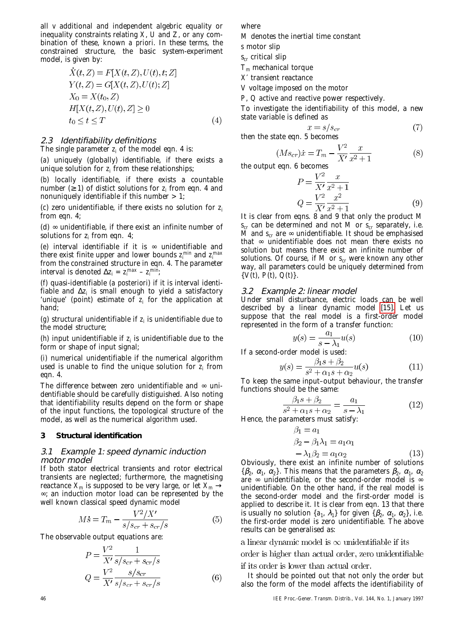all *v* additional and independent algebric equality or inequality constraints relating *X*, *U* and *Z*, or any combination of these, known *a priori*. In these terms, the constrained structure, the basic system-experiment model, is given by:

$$
X(t, Z) = F[X(t, Z), U(t), t; Z]
$$
  
\n
$$
Y(t, Z) = G[X(t, Z), U(t); Z]
$$
  
\n
$$
X_0 = X(t_0, Z)
$$
  
\n
$$
H[X(t, Z), U(t), Z] \ge 0
$$
  
\n
$$
t_0 \le t \le T
$$
\n(4)

# 2.3 Identifiability definitions

The single parameter  $z_i$  of the model eqn. 4 is:

(*a*) uniquely (globally) identifiable, if there exists a unique solution for *zi* from these relationships;

(*b*) locally identifiable, if there exists a countable number  $(≥ 1)$  of distict solutions for  $z_i$  from eqn. 4 and nonuniquely identifiable if this number  $> 1$ ;

(*c*) zero unidentifiable, if there exists no solution for *zi* from eqn. 4;

(d)  $\infty$  unidentifiable, if there exist an infinite number of solutions for  $z_i$  from eqn. 4;

(*e*) interval identifiable if it is ∞ unidentifiable and there exist finite upper and lower bounds  $z_i^{min}$  and  $z_i^{max}$ from the constrained structure in eqn. 4. The parameter interval is denoted  $\Delta z_i = z_i^{max} - z_i^{min}$ ;

(*f*) quasi-identifiable (*a posteriori*) if it is interval identifiable and ∆*zi* is small enough to yield a satisfactory 'unique' (point) estimate of  $z_i$  for the application at hand;

( $g$ ) structural unidentifiable if  $z_i$  is unidentifiable due to the model structure;

(*h*) input unidentifiable if  $z_i$  is unidentifiable due to the form or shape of input signal;

(*i*) numerical unidentifiable if the numerical algorithm used is unable to find the unique solution for *zi* from eqn. 4.

The difference between zero unidentifiable and  $\infty$  unidentifiable should be carefully distiguished. Also noting that identifiability results depend on the form or shape of the input functions, the topological structure of the model, as well as the numerical algorithm used.

# **3 Structural identification**

# 3.1 Example 1: speed dynamic induction motor model

If both stator electrical transients and rotor electrical transients are neglected; furthermore, the magnetising reactance  $X_m$  is supposed to be very large, or let  $X_m \to$ ∞; an induction motor load can be represented by the well known classical speed dynamic model

$$
M\dot{s} = T_m - \frac{V^2/X'}{s/s_{cr} + s_{cr}/s} \tag{5}
$$

The observable output equations are:

$$
P = \frac{V^2}{X'} \frac{1}{s/s_{cr} + s_{cr}/s}
$$

$$
Q = \frac{V^2}{X'} \frac{s/s_{cr}}{s/s_{cr} + s_{cr}/s}
$$
(6)

where

*M* denotes the inertial time constant

*s* motor slip

s*cr* critical slip

*Tm* mechanical torque

*X*′ transient reactance

*V* voltage imposed on the motor

*P*, *Q* active and reactive power respectively.

To investigate the identifiability of this model, a new state variable is defined as

$$
x = s/s_{cr} \tag{7}
$$

then the state eqn. 5 becomes

$$
(Ms_{cr})\dot{x} = T_m - \frac{V^2}{X'}\frac{x}{x^2 + 1}
$$
 (8)

the output eqn. 6 becomes

$$
P = \frac{V^2}{X'} \frac{x}{x^2 + 1}
$$
  
\n
$$
Q = \frac{V^2}{X'} \frac{x^2}{x^2 + 1}
$$
 (9)

It is clear from eqns. 8 and 9 that only the product *M*  $s_{cr}$  can be determined and not *M* or  $s_{cr}$  separately, i.e. *M* and  $s_{cr}$  are ∞ unidentifiable. It shoud be emphasised that ∞ unidentifiable does not mean there exists no solution but means there exist an infinite number of solutions. Of course, if  $M$  or  $s_{cr}$  were known any other way, all parameters could be uniquely determined from  $\{V(t), P(t), Q(t)\}.$ 

# 3.2 Example 2: linear model

Under small disturbance, electric loads can be well described by a linear dynamic model [\[15\].](#page-4-2) Let us suppose that the real model is a first-order model represented in the form of a transfer function:

$$
y(s) = \frac{a_1}{s - \lambda_1} u(s) \tag{10}
$$

If a second-order model is used:

$$
y(s) = \frac{\beta_1 s + \beta_2}{s^2 + \alpha_1 s + \alpha_2} u(s)
$$
 (11)

To keep the same input–output behaviour, the transfer functions should be the same:

$$
\frac{\beta_1 s + \beta_2}{s^2 + \alpha_1 s + \alpha_2} = \frac{a_1}{s - \lambda_1}
$$
 (12)

Hence, the parameters must satisfy:

$$
\beta_1 = a_1
$$
  
\n
$$
\beta_2 - \beta_1 \lambda_1 = a_1 \alpha_1
$$
  
\n
$$
-\lambda_1 \beta_2 = a_1 \alpha_2
$$
  
\n(13)

Obviously, there exist an infinite number of solutions { $\beta_2$ ,  $\alpha_1$ ,  $\alpha_2$ }. This means that the parameters  $\beta_2$ ,  $\alpha_1$ ,  $\alpha_2$ are  $\infty$  unidentifiable, or the second-order model is  $\infty$ unidentifiable. On the other hand, if the real model is the second-order model and the first-order model is applied to describe it. It is clear from eqn. 13 that there is usually no solution  $\{a_1, \lambda_1\}$  for given  $\{\beta_2, \alpha_1, \alpha_2\}$ , i.e. the first-order model is zero unidentifiable. The above results can be generalised as:

a linear dynamic model is  $\infty$  unidentifiable if its

order is higher than actual order, zero unidentifiable

if its order is lower than actual order.

It should be pointed out that not only the order but also the form of the model affects the identifiability of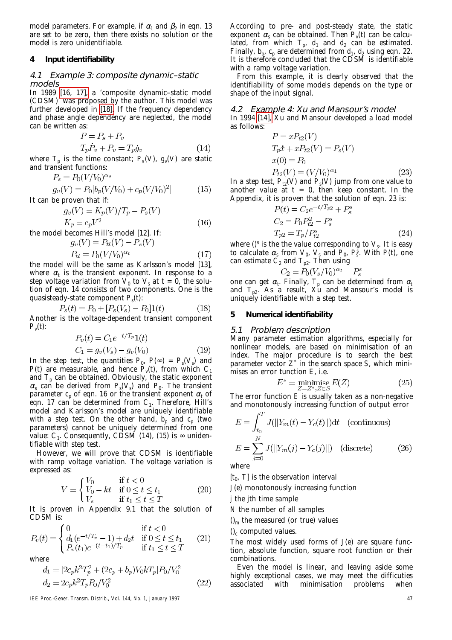model parameters. For example, if  $\alpha_1$  and  $\beta_2$  in eqn. 13 are set to be zero, then there exists no solution or the model is zero unidentifiable.

### **4 Input identifiability**

### 4.1 Example 3: composite dynamic–static models

In 1989 [\[16, 17\],](#page-4-3) a 'composite dynamic–static model (CDSM)' was proposed by the author. This model was further developed in [\[18\].](#page-4-4) If the frequency dependency and phase angle dependency are neglected, the model can be written as:

$$
P = P_s + P_v
$$
  
\n
$$
T_p \dot{P}_v + P_v = T_p \dot{g}_v
$$
\n(14)

 $(15)$ 

 $(16)$ 

where  $T_p$  is the time constant;  $P_s(V)$ ,  $g_v(V)$  are static and transient functions:

$$
P_s = P_0(V/V_0)^{\alpha_s}
$$
  

$$
g_v(V) = P_0[b_p(V/V_0) + c_p(V/V_0)^2]
$$

It can be proven that if:

$$
g_v(V) = K_p(V)/T_p - P_s(V)
$$
  

$$
K_p = c_p V^2
$$

the model becomes Hill's model [12]. If:

$$
g_v(V) = P_{tl}(V) - P_s(V)
$$
  
\n
$$
P_{tl} = P_0(V/V_0)^{\alpha_t}
$$
\n(17)

the model will be the same as Karlsson's model [13], where  $\alpha_t$  is the transient exponent. In response to a step voltage variation from  $\overline{V}_0$  to  $V_s$  at  $t = 0$ , the solution of eqn. 14 consists of two components. One is the quasisteady-state component  $P<sub>s</sub>(t)$ :

$$
P_s(t) = P_0 + [P_s(V_s) - P_0]1(t)
$$
\n(18)

Another is the voltage-dependent transient component  $P_{v}(t)$ :

$$
P_v(t) = C_1 e^{-t/T_p} 1(t)
$$
  
\n
$$
C_1 = g_v(V_s) - g_v(V_0)
$$
\n(19)

In the step test, the quantities  $P_0$ ,  $P(\infty) = P_s(V_s)$  and *P*(*t*) are measurable, and hence  $P_v(t)$ , from which  $C_1$ and  $T_p$  can be obtained. Obviously, the static exponent  $\alpha_s$  can be derived from  $P_s(V_s)$  and  $P_0$ . The transient parameter  $c_p$  of eqn. 16 or the transient exponent  $\alpha_t$  of eqn. 17 can be determined from  $C_1$ . Therefore, Hill's model and Karlsson's model are uniquely identifiable with a step test. On the other hand,  $b_p$  and  $c_p$  (two parameters) cannot be uniquely determined from one value:  $C_1$ . Consequently, CDSM (14), (15) is  $\infty$  unidentifiable with step test.

However, we will prove that CDSM is identifiable with ramp voltage variation. The voltage variation is expressed as:

$$
V = \begin{cases} V_0 & \text{if } t < 0\\ V_0 - kt & \text{if } 0 \le t \le t_1\\ V_s & \text{if } t_1 \le t \le T \end{cases} \tag{20}
$$

It is proven in Appendix 9.1 that the solution of CDSM is:

$$
P_v(t) = \begin{cases} 0 & \text{if } t < 0\\ d_1(e^{-t/T_p} - 1) + d_2t & \text{if } 0 \le t \le t_1\\ P_v(t_1)e^{-(t-t_1)/T_p} & \text{if } t_1 \le t \le T \end{cases}
$$
 (21)

where

$$
d_1 = [2c_p k^2 T_p^2 + (2c_p + b_p)V_0 k T_p] P_0 / V_0^2
$$
  
\n
$$
d_2 = 2c_p k^2 T_p P_0 / V_0^2
$$
\n(22)

*IEE Proc.-Gener. Transm. Distrib., Vol. 144, No. 1, January 1997* 47

According to pre- and post-steady state, the static exponent  $\alpha_s$  can be obtained. Then  $P_{\nu}(t)$  can be calculated, from which  $T_p$ ,  $d_1$  and  $d_2$  can be estimated. Finally,  $b_p$ ,  $c_p$  are determined from  $d_1$ ,  $d_2$  using eqn. 22. It is therefore concluded that the CDSM is identifiable with a ramp voltage variation.

From this example, it is clearly observed that the identifiability of some models depends on the type or shape of the input signal.

# 4.2 Example 4: Xu and Mansour's model

In 1994 [\[14\],](#page-3-3) Xu and Mansour developed a load model as follows:  $D(T)$ 

$$
P = xP_{t2}(V)
$$
  
\n
$$
T_p \dot{x} + xP_{t2}(V) = P_s(V)
$$
  
\n
$$
x(0) = P_0
$$
  
\n
$$
P_{t2}(V) = (V/V_0)^{\alpha_1}
$$
\n(23)

In a step test,  $P_R(V)$  and  $P_s(V)$  jump from one value to another value at  $t = 0$ , then keep constant. In the Appendix, it is proven that the solution of eqn. 23 is:

$$
P(t) = C_2 e^{-t/T_{p2}} + P_s^s
$$
  
\n
$$
C_2 = P_0 P_{t2}^2 - P_s^s
$$
  
\n
$$
T_{p2} = T_p / P_{t2}^s
$$
\n(24)

where  $0^{\text{s}}$  is the the value corresponding to  $V_s$  It is easy to calculate  $\alpha_s$  from  $V_0$ ,  $V_s$  and  $P_0$ ,  $P_s^{\overline{s}}$ . With  $P(t)$ , one can estimate  $C_2$  and  $T_{p2}$ . Then using

$$
C_2 = P_0 (V_s/V_0)^{\alpha_t} - P_s^s
$$

one can get  $\alpha_t$ . Finally,  $T_p$  can be determined from  $\alpha_t$ and *Tp2*. As a result, Xu and Mansour's model is uniquely identifiable with a step test.

### **5 Numerical identifiability**

### 5.1 Problem description

Many parameter estimation algorithms, especially for nonlinear models, are based on minimisation of an index. The major procedure is to search the best parameter vector  $Z^*$  in the search space  $S$ , which minimises an error tunction *E*, i.e.

$$
E^* = \underset{Z = Z^*, Z \in S}{\text{minimise}} E(Z) \tag{25}
$$

The error function *E* is usually taken as a non-negative and monotonously increasing function of output error

$$
E = \int_{t_0}^{T} J(||Y_m(t) - Y_c(t)||) dt \quad \text{(continuous)}
$$
  

$$
E = \sum_{j=0}^{N} J(||Y_m(j) - Y_c(j)||) \quad \text{(discrete)}
$$
 (26)

where

 $[t_0, T]$  is the observation interval

*J*(*e*) monotonously increasing function

*j* the *j*th time sample

*N* the number of all samples

 $\theta_m$  the measured (or true) values

()*c* computed values.

The most widely used forms of *J*(*e*) are square function, absolute function, square root function or their combinations.

Even the model is linear, and leaving aside some highly exceptional cases, we may meet the difficuties associated with minimisation problems when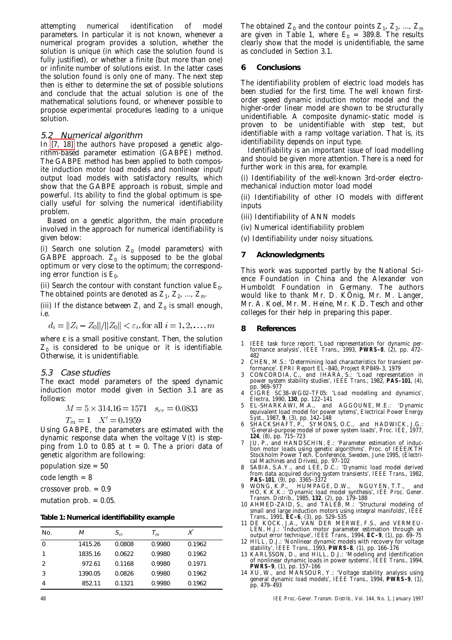attempting numerical identification of model parameters. In particular it is not known, whenever a numerical program provides a solution, whether the solution is unique (in which case the solution found is fully justified), or whether a finite (but more than one) or infinite number of solutions exist. In the latter cases the solution found is only one of many. The next step then is either to determine the set of possible solutions and conclude that the actual solution is one of the mathematical solutions found, or whenever possible to propose experimental procedures leading to a unique solution.

# 5.2 Numerical algorithm

In [\[7, 18\]](#page-3-4) the authors have proposed a genetic algorithm-based parameter estimation (GABPE) method. The GABPE method has been applied to both composite induction motor load models and nonlinear input/ output load models with satisfactory results, which show that the GABPE approach is robust, simple and powerful. Its ability to find the global optimum is specially useful for solving the numerical identifiability problem.

Based on a genetic algorithm, the main procedure involved in the approach for numerical identifiability is given below:

(i) Search one solution  $Z_0$  (model parameters) with GABPE approach.  $Z_0$  is supposed to be the global optimum or very close to the optimum; the corresponding error function is  $E_0$ .

(ii) Search the contour with constant function value  $E_0$ . The obtained points are denoted as  $Z_1$ ,  $Z_2$ , ...,  $Z_{nr}$ 

(iii) If the distance between  $Z_i$  and  $Z_0$  is small enough, i.e.

$$
d_i = ||Z_i - Z_0||/||Z_0|| < \varepsilon_i
$$
, for all  $i = 1, 2, ..., m$ 

where  $ε$  is a small positive constant. Then, the solution  $Z_0$  is considered to be unique or it is identifiable. Otherwise, it is unidentifiable.

# 5.3 Case studies

The exact model parameters of the speed dynamic induction motor model given in Section 3.1 are as follows:

$$
M = 5 \times 314.16 = 1571 \quad s_{cr} = 0.0833
$$

$$
T_m = 1 \quad X' = 0.1959
$$

Using GABPE, the parameters are estimated with the dynamic response data when the voltage *V*(*t*) is stepping from 1.0 to 0.85 at  $t = 0$ . The *a priori* data of genetic algorithm are following:

population size = 50

 $code$  length =  $8$ 

crossover prob. = 0.9

mutation prob.  $= 0.05$ .

### **Table 1: Numerical identifiability example**

| No.           | М       | $S_{cr}$ | $\tau_m$ | Χ      |
|---------------|---------|----------|----------|--------|
| 0             | 1415.26 | 0.0808   | 0.9980   | 0.1962 |
|               | 1835.16 | 0.0622   | 0.9980   | 0.1962 |
| $\mathcal{P}$ | 972.61  | 0.1168   | 0.9980   | 0.1971 |
| 3             | 1390.05 | 0.0826   | 0.9980   | 0.1962 |
|               | 852.11  | 0.1321   | 0.9980   | 0.1962 |

The obtained  $Z_0$  and the contour points  $Z_1$ ,  $Z_2$ , ...,  $Z_m$ are given in Table 1, where  $E_{0}$  = 389.8. The results clearly show that the model is unidentifiable, the same as concluded in Section 3.1.

### **6 Conclusions**

The identifiability problem of electric load models has been studied for the first time. The well known firstorder speed dynamic induction motor model and the higher-order linear model are shown to be structurally unidentifiable. A composite dynamic–static model is proven to be unidentifiable with step test, but identifiable with a ramp voltage variation. That is, its identifiability depends on input type.

Identifiability is an important issue of load modelling and should be given more attention. There is a need for further work in this area, for example.

(i) Identifiability of the well-known 3rd-order electromechanical induction motor load model

(ii) Identifiability of other IO models with different inputs

(iii) Identifiability of ANN models

(iv) Numerical identifiability problem

(v) Identifiability under noisy situations.

# **7 Acknowledgments**

This work was supported partly by the National Science Foundation in China and the Alexander von Humboldt Foundation in Germany. The authors would like to thank Mr. D. KÖnig, Mr. M. Langer, Mr. A. Koel, Mr. M. Heine, Mr. K.D. Tesch and other colleges for their help in preparing this paper.

### **8 References**

- <span id="page-3-0"></span>1 IEEE task force report: 'Load representation for dynamic per-formance analysis', *IEEE Trans*., 1993, **PWRS–8**, (2), pp. 472– 482
- 2 CHEN, M.S.: 'Determining load characteristics for transient performance'. EPRI Report EL–840, Project RP849–3, 1979
- 3 CONCORDIA, C., and IHARA, S.: 'Load representation in power system stability studies', *IEEE Trans*., 1982, **PAS–101**, (4), pp. 969–977
- 4 CIGRE SC38–WG02–TF05: 'Load modelling and dynamics', *Electra*, 1990, **130**, pp. 122–141
- <span id="page-3-1"></span>5 EL-SHARKAWI, M.A., and AGGOUNE, M.E.: 'Dynamic equivalent load model for power sytems', *Electrical Power Energy Syst*., 1987, **9**, (3), pp. 142–148
- 6 SHACKSHAFT, P., SYMONS, O.C., and HADWICK, J.G.: 'General-purpose model of power system loads', *Proc. IEE*, 1977, **124**, (8), pp. 715–723
- <span id="page-3-4"></span>7 JU, P., and HANDSCHIN, E.: 'Parameter estimation of induction motor loads using genetic algorithms'. Proc. of IEEE/KTH Stockholm Power Tech. Conference, Sweden, June 1995, (Electrical Machines and Drives), pp. 97–102
- 8 SABIA, S.A.Y., and LEE, D.C.: 'Dynamic load model derived from data acquired during system transients', *IEEE Trans*., 1982, **PAS–101**, (9), pp. 3365–3372
- 9 WONG, K.P., HUMPAGE, D.W., NGUYEN, T.T., and HO, K.K.K.: 'Dynamic load model synthesis', *IEE Proc. Gener. Transm. Distrib*., 1985, **132**, (2), pp. 179–188
- 10 AHMED-ZAID, S., and TALEB, M.: 'Structural modeling of small and large induction motors using integral manifolds', *IEEE Trans*., 1991, **EC–6**, (3), pp. 529–535
- 11 DE KOCK, J.A., VAN DER MERWE, F.S., and VERMEU-LEN, H.J.: 'Induction motor parameter estimation through an output error technique', *IEEE Trans*., 1994, **EC–9**, (1), pp. 69–75
- <span id="page-3-2"></span>12 HILL, D.J.: 'Nonlinear dynamic models with recovery for voltage stability', *IEEE Trans*., 1993, **PWRS–8**, (1), pp. 166–176
- 13 KARLSSON, D., and HILL, D.J.: 'Modelling and identification of nonlinear dynamic loads in power systems', *IEEE Trans*., 1994, **PWRS–9**, (1), pp. 157–166
- <span id="page-3-3"></span>14 XU, W., and MANSOUR, Y.: 'Voltage stability analysis using general dynamic load models', *IEEE Trans*., 1994, **PWRS–9**, (1), pp. 479–493